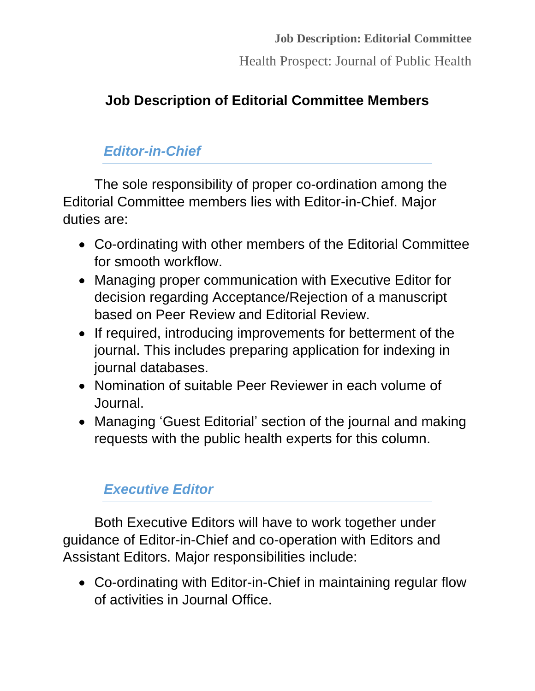Health Prospect: Journal of Public Health

## **Job Description of Editorial Committee Members**

### *Editor-in-Chief*

The sole responsibility of proper co-ordination among the Editorial Committee members lies with Editor-in-Chief. Major duties are:

- Co-ordinating with other members of the Editorial Committee for smooth workflow.
- Managing proper communication with Executive Editor for decision regarding Acceptance/Rejection of a manuscript based on Peer Review and Editorial Review.
- If required, introducing improvements for betterment of the journal. This includes preparing application for indexing in journal databases.
- Nomination of suitable Peer Reviewer in each volume of Journal.
- Managing 'Guest Editorial' section of the journal and making requests with the public health experts for this column.

# *Executive Editor*

Both Executive Editors will have to work together under guidance of Editor-in-Chief and co-operation with Editors and Assistant Editors. Major responsibilities include:

 Co-ordinating with Editor-in-Chief in maintaining regular flow of activities in Journal Office.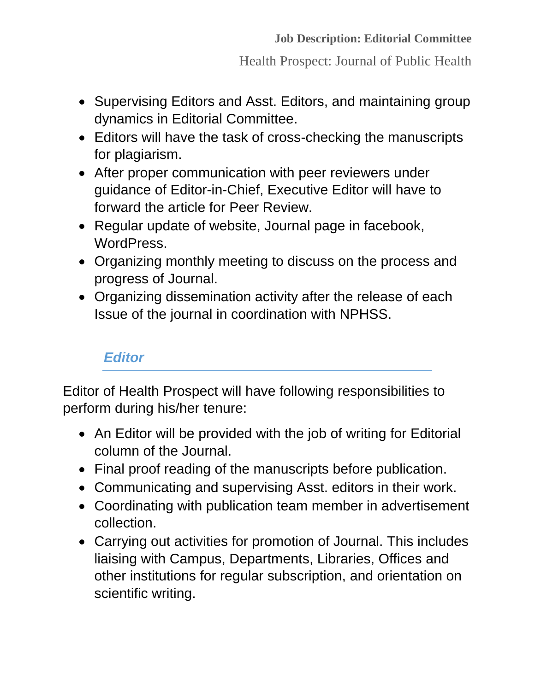Health Prospect: Journal of Public Health

- Supervising Editors and Asst. Editors, and maintaining group dynamics in Editorial Committee.
- Editors will have the task of cross-checking the manuscripts for plagiarism.
- After proper communication with peer reviewers under guidance of Editor-in-Chief, Executive Editor will have to forward the article for Peer Review.
- Regular update of website, Journal page in facebook, WordPress.
- Organizing monthly meeting to discuss on the process and progress of Journal.
- Organizing dissemination activity after the release of each Issue of the journal in coordination with NPHSS.

## *Editor*

Editor of Health Prospect will have following responsibilities to perform during his/her tenure:

- An Editor will be provided with the job of writing for Editorial column of the Journal.
- Final proof reading of the manuscripts before publication.
- Communicating and supervising Asst. editors in their work.
- Coordinating with publication team member in advertisement collection.
- Carrying out activities for promotion of Journal. This includes liaising with Campus, Departments, Libraries, Offices and other institutions for regular subscription, and orientation on scientific writing.